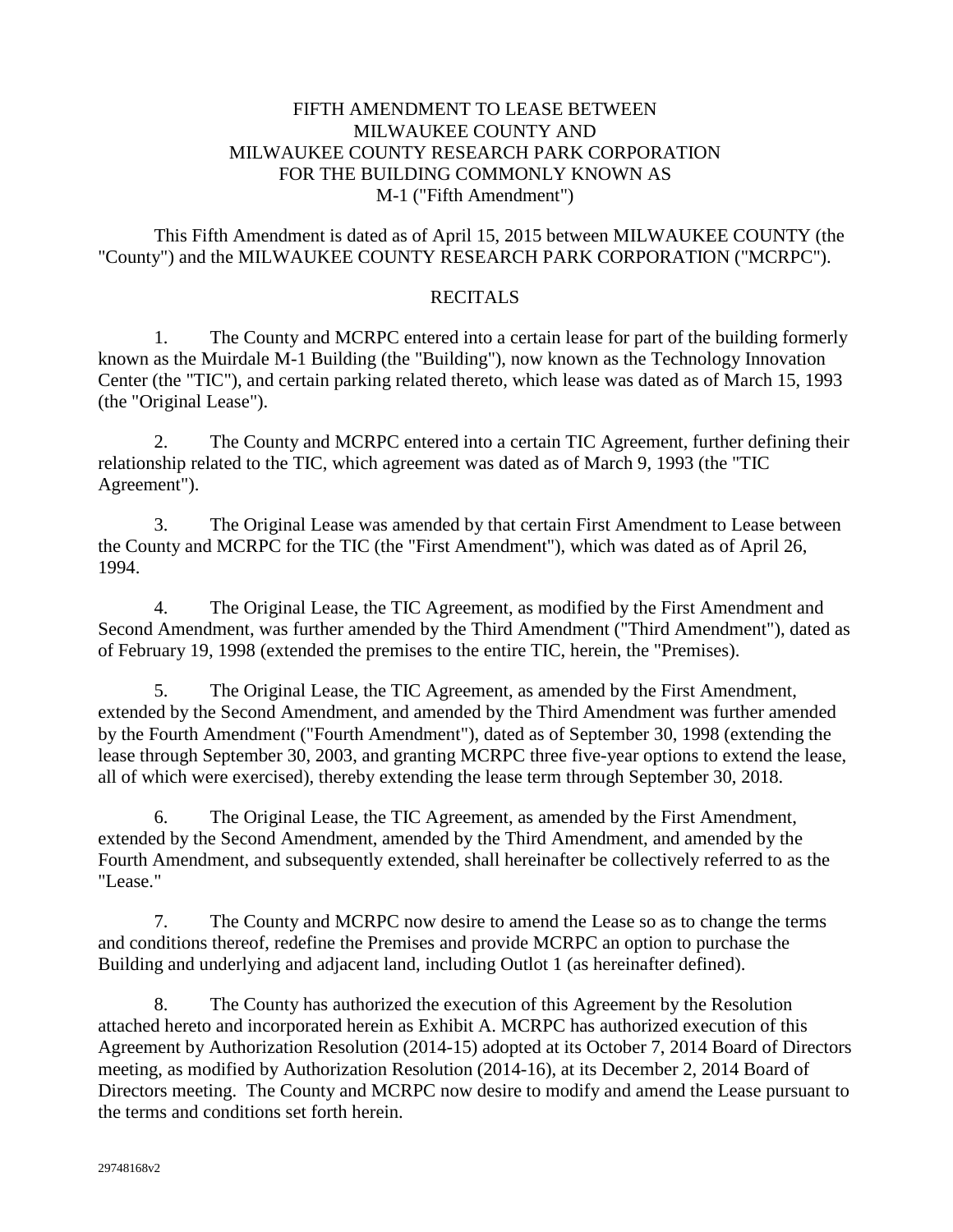# FIFTH AMENDMENT TO LEASE BETWEEN MILWAUKEE COUNTY AND MILWAUKEE COUNTY RESEARCH PARK CORPORATION FOR THE BUILDING COMMONLY KNOWN AS M-1 ("Fifth Amendment")

This Fifth Amendment is dated as of April 15, 2015 between MILWAUKEE COUNTY (the "County") and the MILWAUKEE COUNTY RESEARCH PARK CORPORATION ("MCRPC").

#### **RECITALS**

1. The County and MCRPC entered into a certain lease for part of the building formerly known as the Muirdale M-1 Building (the "Building"), now known as the Technology Innovation Center (the "TIC"), and certain parking related thereto, which lease was dated as of March 15, 1993 (the "Original Lease").

2. The County and MCRPC entered into a certain TIC Agreement, further defining their relationship related to the TIC, which agreement was dated as of March 9, 1993 (the "TIC Agreement").

3. The Original Lease was amended by that certain First Amendment to Lease between the County and MCRPC for the TIC (the "First Amendment"), which was dated as of April 26, 1994.

4. The Original Lease, the TIC Agreement, as modified by the First Amendment and Second Amendment, was further amended by the Third Amendment ("Third Amendment"), dated as of February 19, 1998 (extended the premises to the entire TIC, herein, the "Premises).

5. The Original Lease, the TIC Agreement, as amended by the First Amendment, extended by the Second Amendment, and amended by the Third Amendment was further amended by the Fourth Amendment ("Fourth Amendment"), dated as of September 30, 1998 (extending the lease through September 30, 2003, and granting MCRPC three five-year options to extend the lease, all of which were exercised), thereby extending the lease term through September 30, 2018.

6. The Original Lease, the TIC Agreement, as amended by the First Amendment, extended by the Second Amendment, amended by the Third Amendment, and amended by the Fourth Amendment, and subsequently extended, shall hereinafter be collectively referred to as the "Lease."

7. The County and MCRPC now desire to amend the Lease so as to change the terms and conditions thereof, redefine the Premises and provide MCRPC an option to purchase the Building and underlying and adjacent land, including Outlot 1 (as hereinafter defined).

8. The County has authorized the execution of this Agreement by the Resolution attached hereto and incorporated herein as Exhibit A. MCRPC has authorized execution of this Agreement by Authorization Resolution (2014-15) adopted at its October 7, 2014 Board of Directors meeting, as modified by Authorization Resolution (2014-16), at its December 2, 2014 Board of Directors meeting. The County and MCRPC now desire to modify and amend the Lease pursuant to the terms and conditions set forth herein.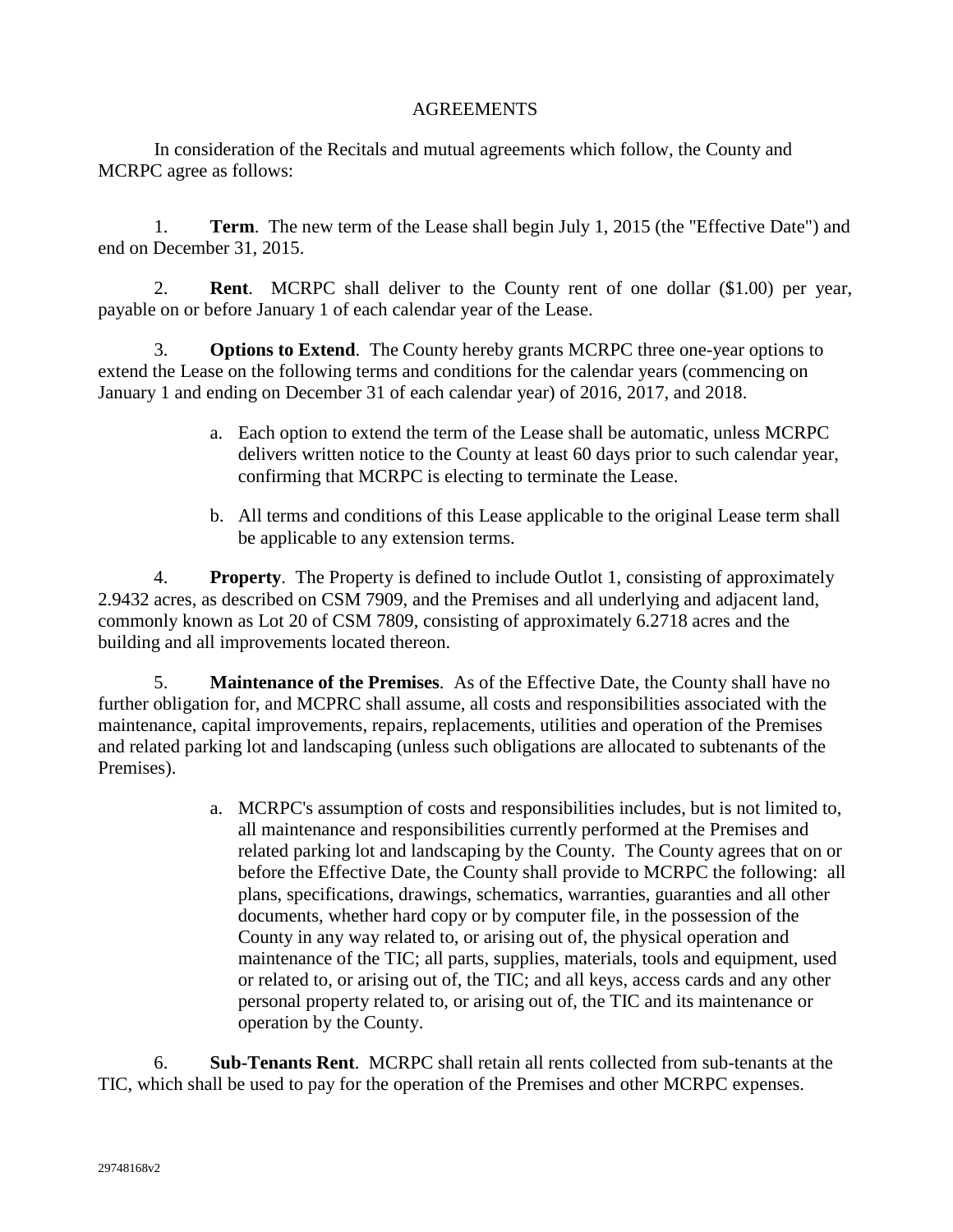## AGREEMENTS

In consideration of the Recitals and mutual agreements which follow, the County and MCRPC agree as follows:

1. **Term**. The new term of the Lease shall begin July 1, 2015 (the "Effective Date") and end on December 31, 2015.

2. **Rent**. MCRPC shall deliver to the County rent of one dollar (\$1.00) per year, payable on or before January 1 of each calendar year of the Lease.

3. **Options to Extend**. The County hereby grants MCRPC three one-year options to extend the Lease on the following terms and conditions for the calendar years (commencing on January 1 and ending on December 31 of each calendar year) of 2016, 2017, and 2018.

- a. Each option to extend the term of the Lease shall be automatic, unless MCRPC delivers written notice to the County at least 60 days prior to such calendar year, confirming that MCRPC is electing to terminate the Lease.
- b. All terms and conditions of this Lease applicable to the original Lease term shall be applicable to any extension terms.

4. **Property**. The Property is defined to include Outlot 1, consisting of approximately 2.9432 acres, as described on CSM 7909, and the Premises and all underlying and adjacent land, commonly known as Lot 20 of CSM 7809, consisting of approximately 6.2718 acres and the building and all improvements located thereon.

5. **Maintenance of the Premises**. As of the Effective Date, the County shall have no further obligation for, and MCPRC shall assume, all costs and responsibilities associated with the maintenance, capital improvements, repairs, replacements, utilities and operation of the Premises and related parking lot and landscaping (unless such obligations are allocated to subtenants of the Premises).

> a. MCRPC's assumption of costs and responsibilities includes, but is not limited to, all maintenance and responsibilities currently performed at the Premises and related parking lot and landscaping by the County. The County agrees that on or before the Effective Date, the County shall provide to MCRPC the following: all plans, specifications, drawings, schematics, warranties, guaranties and all other documents, whether hard copy or by computer file, in the possession of the County in any way related to, or arising out of, the physical operation and maintenance of the TIC; all parts, supplies, materials, tools and equipment, used or related to, or arising out of, the TIC; and all keys, access cards and any other personal property related to, or arising out of, the TIC and its maintenance or operation by the County.

6. **Sub-Tenants Rent**. MCRPC shall retain all rents collected from sub-tenants at the TIC, which shall be used to pay for the operation of the Premises and other MCRPC expenses.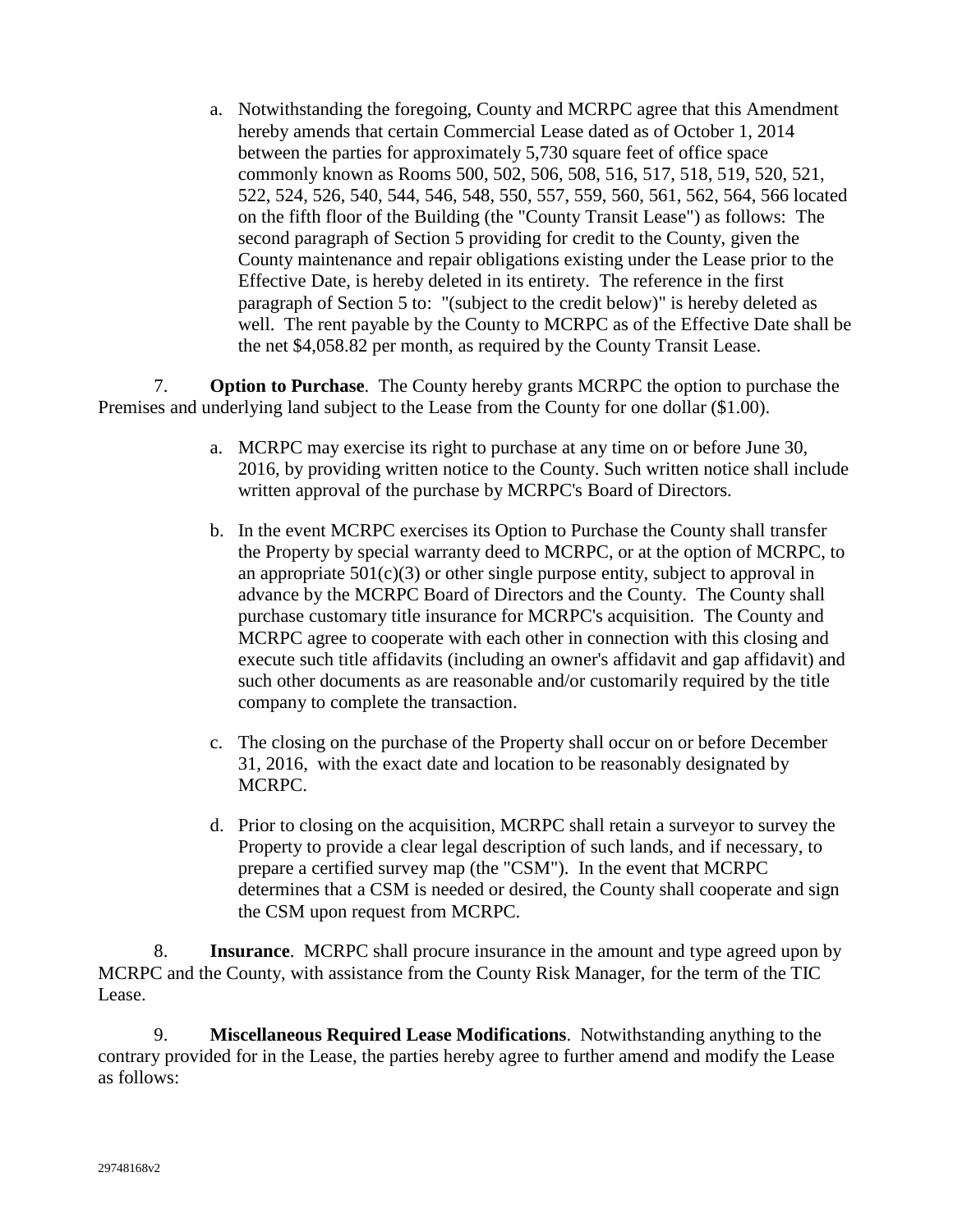a. Notwithstanding the foregoing, County and MCRPC agree that this Amendment hereby amends that certain Commercial Lease dated as of October 1, 2014 between the parties for approximately 5,730 square feet of office space commonly known as Rooms 500, 502, 506, 508, 516, 517, 518, 519, 520, 521, 522, 524, 526, 540, 544, 546, 548, 550, 557, 559, 560, 561, 562, 564, 566 located on the fifth floor of the Building (the "County Transit Lease") as follows: The second paragraph of Section 5 providing for credit to the County, given the County maintenance and repair obligations existing under the Lease prior to the Effective Date, is hereby deleted in its entirety. The reference in the first paragraph of Section 5 to: "(subject to the credit below)" is hereby deleted as well. The rent payable by the County to MCRPC as of the Effective Date shall be the net \$4,058.82 per month, as required by the County Transit Lease.

7. **Option to Purchase**. The County hereby grants MCRPC the option to purchase the Premises and underlying land subject to the Lease from the County for one dollar (\$1.00).

- a. MCRPC may exercise its right to purchase at any time on or before June 30, 2016, by providing written notice to the County. Such written notice shall include written approval of the purchase by MCRPC's Board of Directors.
- b. In the event MCRPC exercises its Option to Purchase the County shall transfer the Property by special warranty deed to MCRPC, or at the option of MCRPC, to an appropriate  $501(c)(3)$  or other single purpose entity, subject to approval in advance by the MCRPC Board of Directors and the County. The County shall purchase customary title insurance for MCRPC's acquisition. The County and MCRPC agree to cooperate with each other in connection with this closing and execute such title affidavits (including an owner's affidavit and gap affidavit) and such other documents as are reasonable and/or customarily required by the title company to complete the transaction.
- c. The closing on the purchase of the Property shall occur on or before December 31, 2016, with the exact date and location to be reasonably designated by MCRPC.
- d. Prior to closing on the acquisition, MCRPC shall retain a surveyor to survey the Property to provide a clear legal description of such lands, and if necessary, to prepare a certified survey map (the "CSM"). In the event that MCRPC determines that a CSM is needed or desired, the County shall cooperate and sign the CSM upon request from MCRPC.

8. **Insurance**. MCRPC shall procure insurance in the amount and type agreed upon by MCRPC and the County, with assistance from the County Risk Manager, for the term of the TIC Lease.

9. **Miscellaneous Required Lease Modifications**. Notwithstanding anything to the contrary provided for in the Lease, the parties hereby agree to further amend and modify the Lease as follows: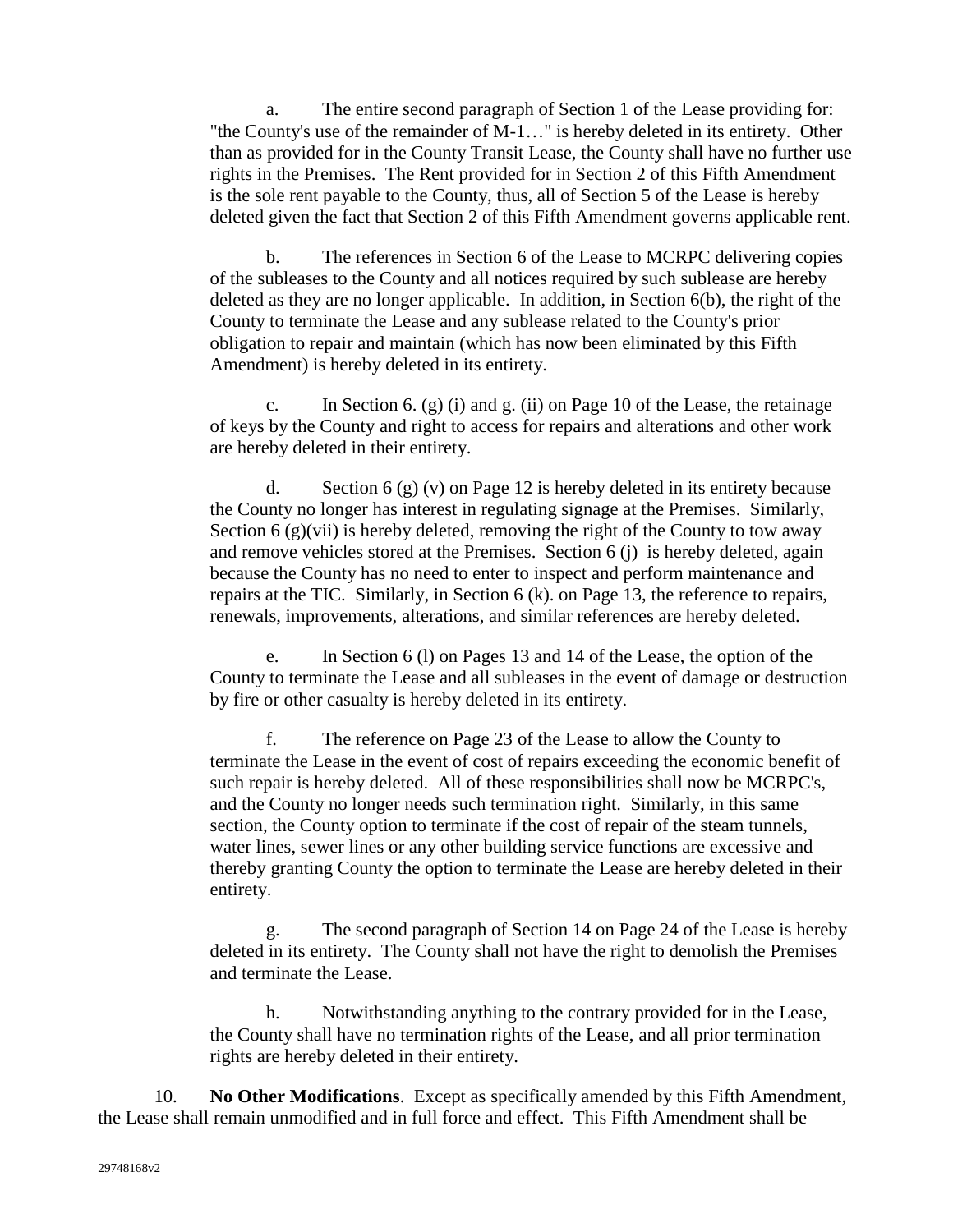a. The entire second paragraph of Section 1 of the Lease providing for: "the County's use of the remainder of M-1…" is hereby deleted in its entirety. Other than as provided for in the County Transit Lease, the County shall have no further use rights in the Premises. The Rent provided for in Section 2 of this Fifth Amendment is the sole rent payable to the County, thus, all of Section 5 of the Lease is hereby deleted given the fact that Section 2 of this Fifth Amendment governs applicable rent.

b. The references in Section 6 of the Lease to MCRPC delivering copies of the subleases to the County and all notices required by such sublease are hereby deleted as they are no longer applicable. In addition, in Section 6(b), the right of the County to terminate the Lease and any sublease related to the County's prior obligation to repair and maintain (which has now been eliminated by this Fifth Amendment) is hereby deleted in its entirety.

c. In Section 6. (g) (i) and g. (ii) on Page 10 of the Lease, the retainage of keys by the County and right to access for repairs and alterations and other work are hereby deleted in their entirety.

d. Section  $6(g)(v)$  on Page 12 is hereby deleted in its entirety because the County no longer has interest in regulating signage at the Premises. Similarly, Section  $6(g)(vii)$  is hereby deleted, removing the right of the County to tow away and remove vehicles stored at the Premises. Section 6 (j) is hereby deleted, again because the County has no need to enter to inspect and perform maintenance and repairs at the TIC. Similarly, in Section 6 (k). on Page 13, the reference to repairs, renewals, improvements, alterations, and similar references are hereby deleted.

e. In Section 6 (l) on Pages 13 and 14 of the Lease, the option of the County to terminate the Lease and all subleases in the event of damage or destruction by fire or other casualty is hereby deleted in its entirety.

f. The reference on Page 23 of the Lease to allow the County to terminate the Lease in the event of cost of repairs exceeding the economic benefit of such repair is hereby deleted. All of these responsibilities shall now be MCRPC's, and the County no longer needs such termination right. Similarly, in this same section, the County option to terminate if the cost of repair of the steam tunnels, water lines, sewer lines or any other building service functions are excessive and thereby granting County the option to terminate the Lease are hereby deleted in their entirety.

g. The second paragraph of Section 14 on Page 24 of the Lease is hereby deleted in its entirety. The County shall not have the right to demolish the Premises and terminate the Lease.

h. Notwithstanding anything to the contrary provided for in the Lease, the County shall have no termination rights of the Lease, and all prior termination rights are hereby deleted in their entirety.

10. **No Other Modifications**. Except as specifically amended by this Fifth Amendment, the Lease shall remain unmodified and in full force and effect. This Fifth Amendment shall be